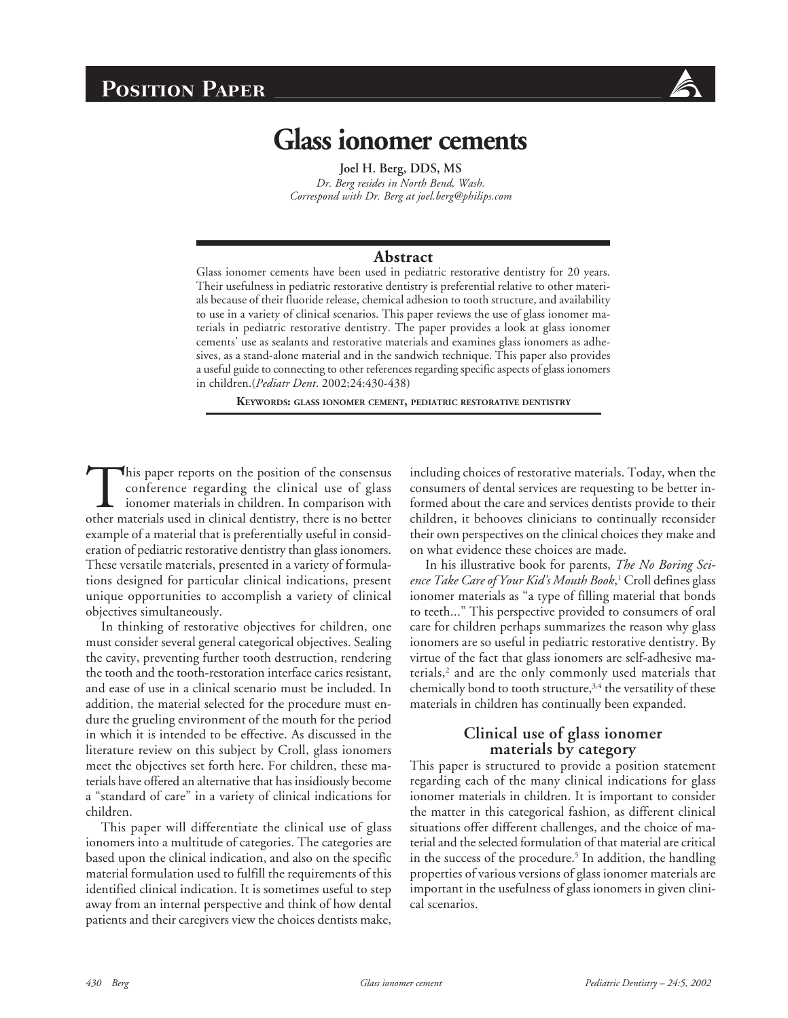# **Position Paper**



# **Glass ionomer cements**

**Joel H. Berg, DDS, MS** *Dr. Berg resides in North Bend, Wash. Correspond with Dr. Berg at joel.berg@philips.com*

#### **Abstract**

Glass ionomer cements have been used in pediatric restorative dentistry for 20 years. Their usefulness in pediatric restorative dentistry is preferential relative to other materials because of their fluoride release, chemical adhesion to tooth structure, and availability to use in a variety of clinical scenarios. This paper reviews the use of glass ionomer materials in pediatric restorative dentistry. The paper provides a look at glass ionomer cements' use as sealants and restorative materials and examines glass ionomers as adhesives, as a stand-alone material and in the sandwich technique. This paper also provides a useful guide to connecting to other references regarding specific aspects of glass ionomers in children.(*Pediatr Dent*. 2002;24:430-438)

**KEYWORDS: GLASS IONOMER CEMENT, PEDIATRIC RESTORATIVE DENTISTRY**

This paper reports on the position of the consensus conference regarding the clinical use of glass ionomer materials in children. In comparison with other materials used in clinical dentistry, there is no better example of a material that is preferentially useful in consideration of pediatric restorative dentistry than glass ionomers. These versatile materials, presented in a variety of formulations designed for particular clinical indications, present unique opportunities to accomplish a variety of clinical objectives simultaneously.

In thinking of restorative objectives for children, one must consider several general categorical objectives. Sealing the cavity, preventing further tooth destruction, rendering the tooth and the tooth-restoration interface caries resistant, and ease of use in a clinical scenario must be included. In addition, the material selected for the procedure must endure the grueling environment of the mouth for the period in which it is intended to be effective. As discussed in the literature review on this subject by Croll, glass ionomers meet the objectives set forth here. For children, these materials have offered an alternative that has insidiously become a "standard of care" in a variety of clinical indications for children.

This paper will differentiate the clinical use of glass ionomers into a multitude of categories. The categories are based upon the clinical indication, and also on the specific material formulation used to fulfill the requirements of this identified clinical indication. It is sometimes useful to step away from an internal perspective and think of how dental patients and their caregivers view the choices dentists make,

including choices of restorative materials. Today, when the consumers of dental services are requesting to be better informed about the care and services dentists provide to their children, it behooves clinicians to continually reconsider their own perspectives on the clinical choices they make and on what evidence these choices are made.

In his illustrative book for parents, *The No Boring Science Take Care of Your Kid's Mouth Book*, 1 Croll defines glass ionomer materials as "a type of filling material that bonds to teeth..." This perspective provided to consumers of oral care for children perhaps summarizes the reason why glass ionomers are so useful in pediatric restorative dentistry. By virtue of the fact that glass ionomers are self-adhesive materials,<sup>2</sup> and are the only commonly used materials that chemically bond to tooth structure,<sup>3,4</sup> the versatility of these materials in children has continually been expanded.

# **Clinical use of glass ionomer materials by category**

This paper is structured to provide a position statement regarding each of the many clinical indications for glass ionomer materials in children. It is important to consider the matter in this categorical fashion, as different clinical situations offer different challenges, and the choice of material and the selected formulation of that material are critical in the success of the procedure.<sup>5</sup> In addition, the handling properties of various versions of glass ionomer materials are important in the usefulness of glass ionomers in given clinical scenarios.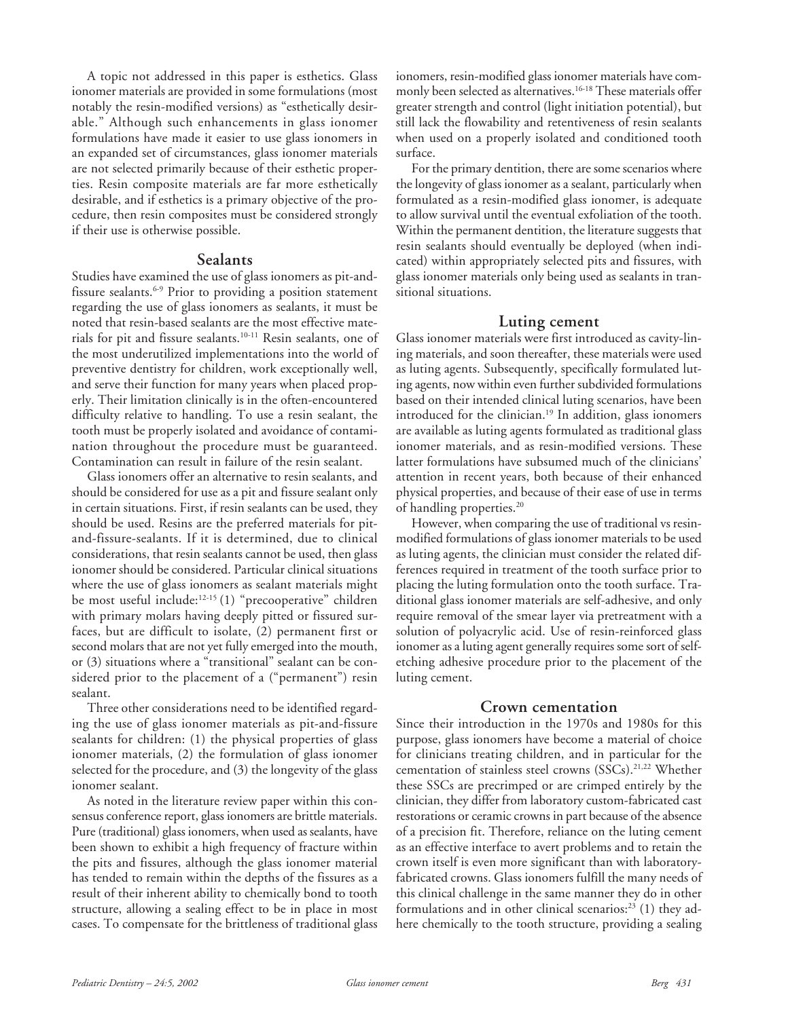A topic not addressed in this paper is esthetics. Glass ionomer materials are provided in some formulations (most notably the resin-modified versions) as "esthetically desirable." Although such enhancements in glass ionomer formulations have made it easier to use glass ionomers in an expanded set of circumstances, glass ionomer materials are not selected primarily because of their esthetic properties. Resin composite materials are far more esthetically desirable, and if esthetics is a primary objective of the procedure, then resin composites must be considered strongly if their use is otherwise possible.

#### **Sealants**

Studies have examined the use of glass ionomers as pit-andfissure sealants.<sup>6-9</sup> Prior to providing a position statement regarding the use of glass ionomers as sealants, it must be noted that resin-based sealants are the most effective materials for pit and fissure sealants.10-11 Resin sealants, one of the most underutilized implementations into the world of preventive dentistry for children, work exceptionally well, and serve their function for many years when placed properly. Their limitation clinically is in the often-encountered difficulty relative to handling. To use a resin sealant, the tooth must be properly isolated and avoidance of contamination throughout the procedure must be guaranteed. Contamination can result in failure of the resin sealant.

Glass ionomers offer an alternative to resin sealants, and should be considered for use as a pit and fissure sealant only in certain situations. First, if resin sealants can be used, they should be used. Resins are the preferred materials for pitand-fissure-sealants. If it is determined, due to clinical considerations, that resin sealants cannot be used, then glass ionomer should be considered. Particular clinical situations where the use of glass ionomers as sealant materials might be most useful include:12-15 (1) "precooperative" children with primary molars having deeply pitted or fissured surfaces, but are difficult to isolate, (2) permanent first or second molars that are not yet fully emerged into the mouth, or (3) situations where a "transitional" sealant can be considered prior to the placement of a ("permanent") resin sealant.

Three other considerations need to be identified regarding the use of glass ionomer materials as pit-and-fissure sealants for children: (1) the physical properties of glass ionomer materials, (2) the formulation of glass ionomer selected for the procedure, and (3) the longevity of the glass ionomer sealant.

As noted in the literature review paper within this consensus conference report, glass ionomers are brittle materials. Pure (traditional) glass ionomers, when used as sealants, have been shown to exhibit a high frequency of fracture within the pits and fissures, although the glass ionomer material has tended to remain within the depths of the fissures as a result of their inherent ability to chemically bond to tooth structure, allowing a sealing effect to be in place in most cases. To compensate for the brittleness of traditional glass

ionomers, resin-modified glass ionomer materials have commonly been selected as alternatives.16-18 These materials offer greater strength and control (light initiation potential), but still lack the flowability and retentiveness of resin sealants when used on a properly isolated and conditioned tooth surface.

For the primary dentition, there are some scenarios where the longevity of glass ionomer as a sealant, particularly when formulated as a resin-modified glass ionomer, is adequate to allow survival until the eventual exfoliation of the tooth. Within the permanent dentition, the literature suggests that resin sealants should eventually be deployed (when indicated) within appropriately selected pits and fissures, with glass ionomer materials only being used as sealants in transitional situations.

#### **Luting cement**

Glass ionomer materials were first introduced as cavity-lining materials, and soon thereafter, these materials were used as luting agents. Subsequently, specifically formulated luting agents, now within even further subdivided formulations based on their intended clinical luting scenarios, have been introduced for the clinician.<sup>19</sup> In addition, glass ionomers are available as luting agents formulated as traditional glass ionomer materials, and as resin-modified versions. These latter formulations have subsumed much of the clinicians' attention in recent years, both because of their enhanced physical properties, and because of their ease of use in terms of handling properties.<sup>20</sup>

However, when comparing the use of traditional vs resinmodified formulations of glass ionomer materials to be used as luting agents, the clinician must consider the related differences required in treatment of the tooth surface prior to placing the luting formulation onto the tooth surface. Traditional glass ionomer materials are self-adhesive, and only require removal of the smear layer via pretreatment with a solution of polyacrylic acid. Use of resin-reinforced glass ionomer as a luting agent generally requires some sort of selfetching adhesive procedure prior to the placement of the luting cement.

#### **Crown cementation**

Since their introduction in the 1970s and 1980s for this purpose, glass ionomers have become a material of choice for clinicians treating children, and in particular for the cementation of stainless steel crowns (SSCs).<sup>21,22</sup> Whether these SSCs are precrimped or are crimped entirely by the clinician, they differ from laboratory custom-fabricated cast restorations or ceramic crowns in part because of the absence of a precision fit. Therefore, reliance on the luting cement as an effective interface to avert problems and to retain the crown itself is even more significant than with laboratoryfabricated crowns. Glass ionomers fulfill the many needs of this clinical challenge in the same manner they do in other formulations and in other clinical scenarios: $^{23}$  (1) they adhere chemically to the tooth structure, providing a sealing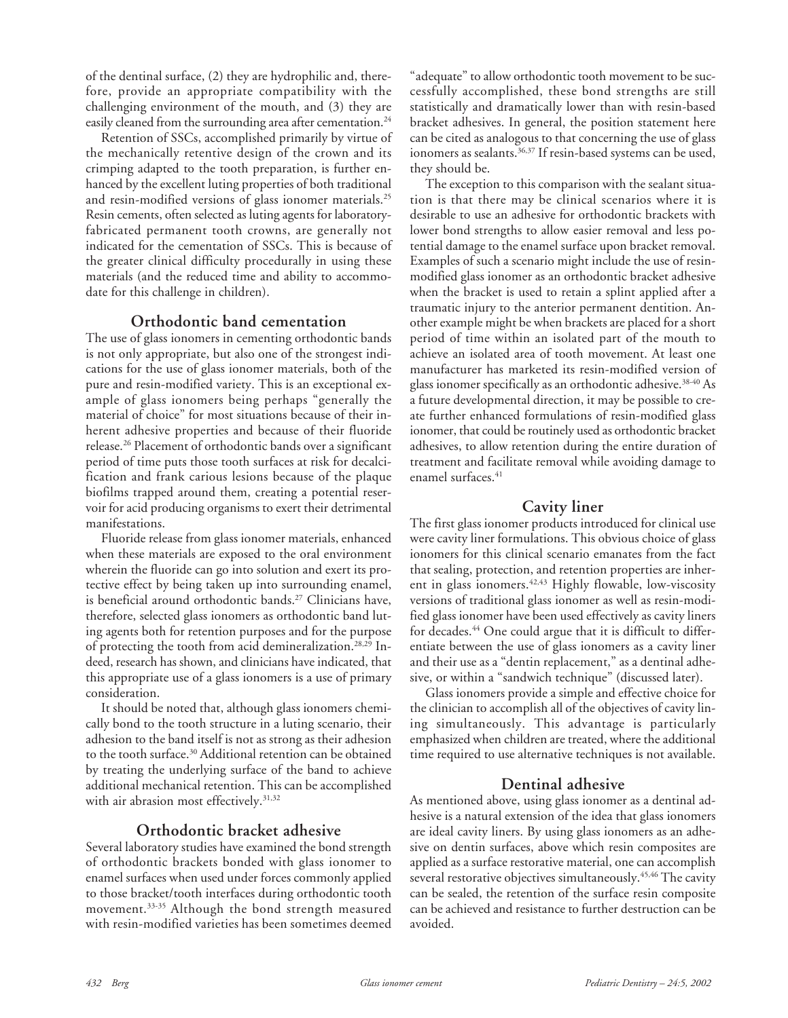of the dentinal surface, (2) they are hydrophilic and, therefore, provide an appropriate compatibility with the challenging environment of the mouth, and (3) they are easily cleaned from the surrounding area after cementation.<sup>24</sup>

Retention of SSCs, accomplished primarily by virtue of the mechanically retentive design of the crown and its crimping adapted to the tooth preparation, is further enhanced by the excellent luting properties of both traditional and resin-modified versions of glass ionomer materials.<sup>25</sup> Resin cements, often selected as luting agents for laboratoryfabricated permanent tooth crowns, are generally not indicated for the cementation of SSCs. This is because of the greater clinical difficulty procedurally in using these materials (and the reduced time and ability to accommodate for this challenge in children).

### **Orthodontic band cementation**

The use of glass ionomers in cementing orthodontic bands is not only appropriate, but also one of the strongest indications for the use of glass ionomer materials, both of the pure and resin-modified variety. This is an exceptional example of glass ionomers being perhaps "generally the material of choice" for most situations because of their inherent adhesive properties and because of their fluoride release.26 Placement of orthodontic bands over a significant period of time puts those tooth surfaces at risk for decalcification and frank carious lesions because of the plaque biofilms trapped around them, creating a potential reservoir for acid producing organisms to exert their detrimental manifestations.

Fluoride release from glass ionomer materials, enhanced when these materials are exposed to the oral environment wherein the fluoride can go into solution and exert its protective effect by being taken up into surrounding enamel, is beneficial around orthodontic bands.<sup>27</sup> Clinicians have, therefore, selected glass ionomers as orthodontic band luting agents both for retention purposes and for the purpose of protecting the tooth from acid demineralization.28,29 Indeed, research has shown, and clinicians have indicated, that this appropriate use of a glass ionomers is a use of primary consideration.

It should be noted that, although glass ionomers chemically bond to the tooth structure in a luting scenario, their adhesion to the band itself is not as strong as their adhesion to the tooth surface.<sup>30</sup> Additional retention can be obtained by treating the underlying surface of the band to achieve additional mechanical retention. This can be accomplished with air abrasion most effectively.<sup>31,32</sup>

# **Orthodontic bracket adhesive**

Several laboratory studies have examined the bond strength of orthodontic brackets bonded with glass ionomer to enamel surfaces when used under forces commonly applied to those bracket/tooth interfaces during orthodontic tooth movement.33-35 Although the bond strength measured with resin-modified varieties has been sometimes deemed

"adequate" to allow orthodontic tooth movement to be successfully accomplished, these bond strengths are still statistically and dramatically lower than with resin-based bracket adhesives. In general, the position statement here can be cited as analogous to that concerning the use of glass ionomers as sealants.<sup>36,37</sup> If resin-based systems can be used, they should be.

The exception to this comparison with the sealant situation is that there may be clinical scenarios where it is desirable to use an adhesive for orthodontic brackets with lower bond strengths to allow easier removal and less potential damage to the enamel surface upon bracket removal. Examples of such a scenario might include the use of resinmodified glass ionomer as an orthodontic bracket adhesive when the bracket is used to retain a splint applied after a traumatic injury to the anterior permanent dentition. Another example might be when brackets are placed for a short period of time within an isolated part of the mouth to achieve an isolated area of tooth movement. At least one manufacturer has marketed its resin-modified version of glass ionomer specifically as an orthodontic adhesive.38-40 As a future developmental direction, it may be possible to create further enhanced formulations of resin-modified glass ionomer, that could be routinely used as orthodontic bracket adhesives, to allow retention during the entire duration of treatment and facilitate removal while avoiding damage to enamel surfaces.<sup>41</sup>

# **Cavity liner**

The first glass ionomer products introduced for clinical use were cavity liner formulations. This obvious choice of glass ionomers for this clinical scenario emanates from the fact that sealing, protection, and retention properties are inherent in glass ionomers.<sup>42,43</sup> Highly flowable, low-viscosity versions of traditional glass ionomer as well as resin-modified glass ionomer have been used effectively as cavity liners for decades.<sup>44</sup> One could argue that it is difficult to differentiate between the use of glass ionomers as a cavity liner and their use as a "dentin replacement," as a dentinal adhesive, or within a "sandwich technique" (discussed later).

Glass ionomers provide a simple and effective choice for the clinician to accomplish all of the objectives of cavity lining simultaneously. This advantage is particularly emphasized when children are treated, where the additional time required to use alternative techniques is not available.

# **Dentinal adhesive**

As mentioned above, using glass ionomer as a dentinal adhesive is a natural extension of the idea that glass ionomers are ideal cavity liners. By using glass ionomers as an adhesive on dentin surfaces, above which resin composites are applied as a surface restorative material, one can accomplish several restorative objectives simultaneously.<sup>45,46</sup> The cavity can be sealed, the retention of the surface resin composite can be achieved and resistance to further destruction can be avoided.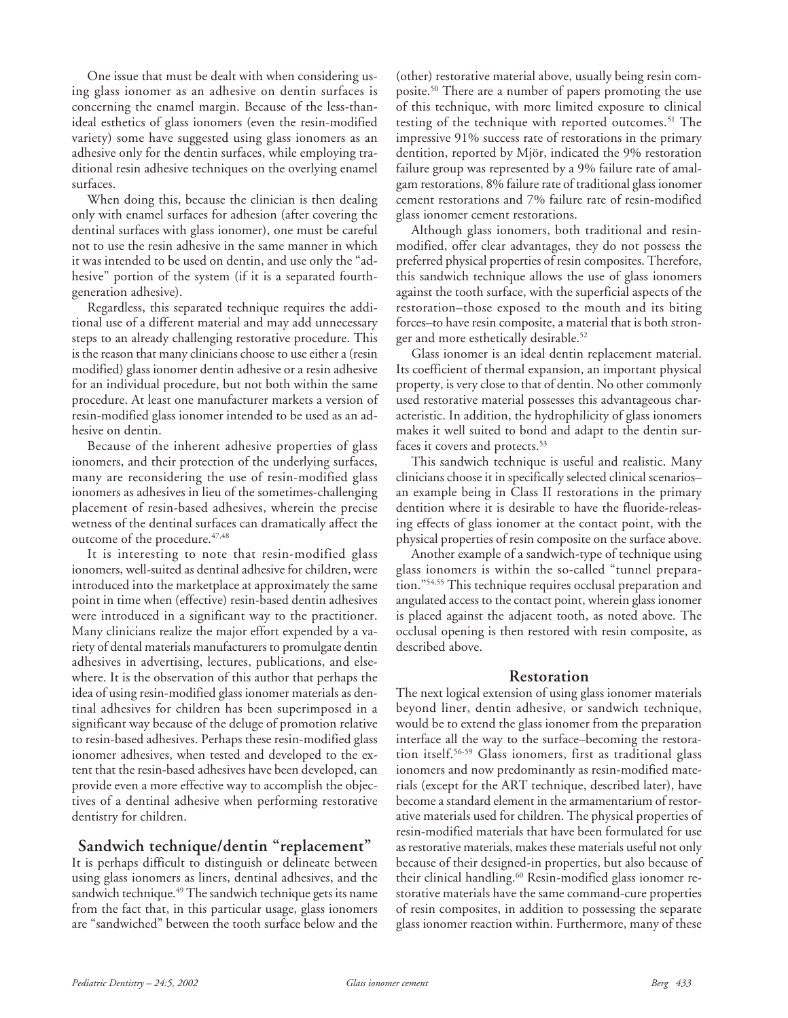One issue that must be dealt with when considering using glass ionomer as an adhesive on dentin surfaces is concerning the enamel margin. Because of the less-thanideal esthetics of glass ionomers (even the resin-modified variety) some have suggested using glass ionomers as an adhesive only for the dentin surfaces, while employing traditional resin adhesive techniques on the overlying enamel surfaces.

When doing this, because the clinician is then dealing only with enamel surfaces for adhesion (after covering the dentinal surfaces with glass ionomer), one must be careful not to use the resin adhesive in the same manner in which it was intended to be used on dentin, and use only the "adhesive" portion of the system (if it is a separated fourthgeneration adhesive).

Regardless, this separated technique requires the additional use of a different material and may add unnecessary steps to an already challenging restorative procedure. This is the reason that many clinicians choose to use either a (resin modified) glass ionomer dentin adhesive or a resin adhesive for an individual procedure, but not both within the same procedure. At least one manufacturer markets a version of resin-modified glass ionomer intended to be used as an adhesive on dentin.

Because of the inherent adhesive properties of glass ionomers, and their protection of the underlying surfaces, many are reconsidering the use of resin-modified glass ionomers as adhesives in lieu of the sometimes-challenging placement of resin-based adhesives, wherein the precise wetness of the dentinal surfaces can dramatically affect the outcome of the procedure.  $47,48$ 

It is interesting to note that resin-modified glass ionomers, well-suited as dentinal adhesive for children, were introduced into the marketplace at approximately the same point in time when (effective) resin-based dentin adhesives were introduced in a significant way to the practitioner. Many clinicians realize the major effort expended by a variety of dental materials manufacturers to promulgate dentin adhesives in advertising, lectures, publications, and elsewhere. It is the observation of this author that perhaps the idea of using resin-modified glass ionomer materials as dentinal adhesives for children has been superimposed in a significant way because of the deluge of promotion relative to resin-based adhesives. Perhaps these resin-modified glass ionomer adhesives, when tested and developed to the extent that the resin-based adhesives have been developed, can provide even a more effective way to accomplish the objectives of a dentinal adhesive when performing restorative dentistry for children.

### **Sandwich technique/dentin "replacement"**

It is perhaps difficult to distinguish or delineate between using glass ionomers as liners, dentinal adhesives, and the sandwich technique.<sup>49</sup> The sandwich technique gets its name from the fact that, in this particular usage, glass ionomers are "sandwiched" between the tooth surface below and the (other) restorative material above, usually being resin composite.<sup>50</sup> There are a number of papers promoting the use of this technique, with more limited exposure to clinical testing of the technique with reported outcomes.<sup>51</sup> The impressive 91% success rate of restorations in the primary dentition, reported by Mjör, indicated the 9% restoration failure group was represented by a 9% failure rate of amalgam restorations, 8% failure rate of traditional glass ionomer cement restorations and 7% failure rate of resin-modified glass ionomer cement restorations.

Although glass ionomers, both traditional and resinmodified, offer clear advantages, they do not possess the preferred physical properties of resin composites. Therefore, this sandwich technique allows the use of glass ionomers against the tooth surface, with the superficial aspects of the restoration–those exposed to the mouth and its biting forces–to have resin composite, a material that is both stronger and more esthetically desirable.<sup>52</sup>

Glass ionomer is an ideal dentin replacement material. Its coefficient of thermal expansion, an important physical property, is very close to that of dentin. No other commonly used restorative material possesses this advantageous characteristic. In addition, the hydrophilicity of glass ionomers makes it well suited to bond and adapt to the dentin surfaces it covers and protects.<sup>53</sup>

This sandwich technique is useful and realistic. Many clinicians choose it in specifically selected clinical scenarios– an example being in Class II restorations in the primary dentition where it is desirable to have the fluoride-releasing effects of glass ionomer at the contact point, with the physical properties of resin composite on the surface above.

Another example of a sandwich-type of technique using glass ionomers is within the so-called "tunnel preparation."54,55 This technique requires occlusal preparation and angulated access to the contact point, wherein glass ionomer is placed against the adjacent tooth, as noted above. The occlusal opening is then restored with resin composite, as described above.

# **Restoration**

The next logical extension of using glass ionomer materials beyond liner, dentin adhesive, or sandwich technique, would be to extend the glass ionomer from the preparation interface all the way to the surface–becoming the restoration itself.56-59 Glass ionomers, first as traditional glass ionomers and now predominantly as resin-modified materials (except for the ART technique, described later), have become a standard element in the armamentarium of restorative materials used for children. The physical properties of resin-modified materials that have been formulated for use as restorative materials, makes these materials useful not only because of their designed-in properties, but also because of their clinical handling.60 Resin-modified glass ionomer restorative materials have the same command-cure properties of resin composites, in addition to possessing the separate glass ionomer reaction within. Furthermore, many of these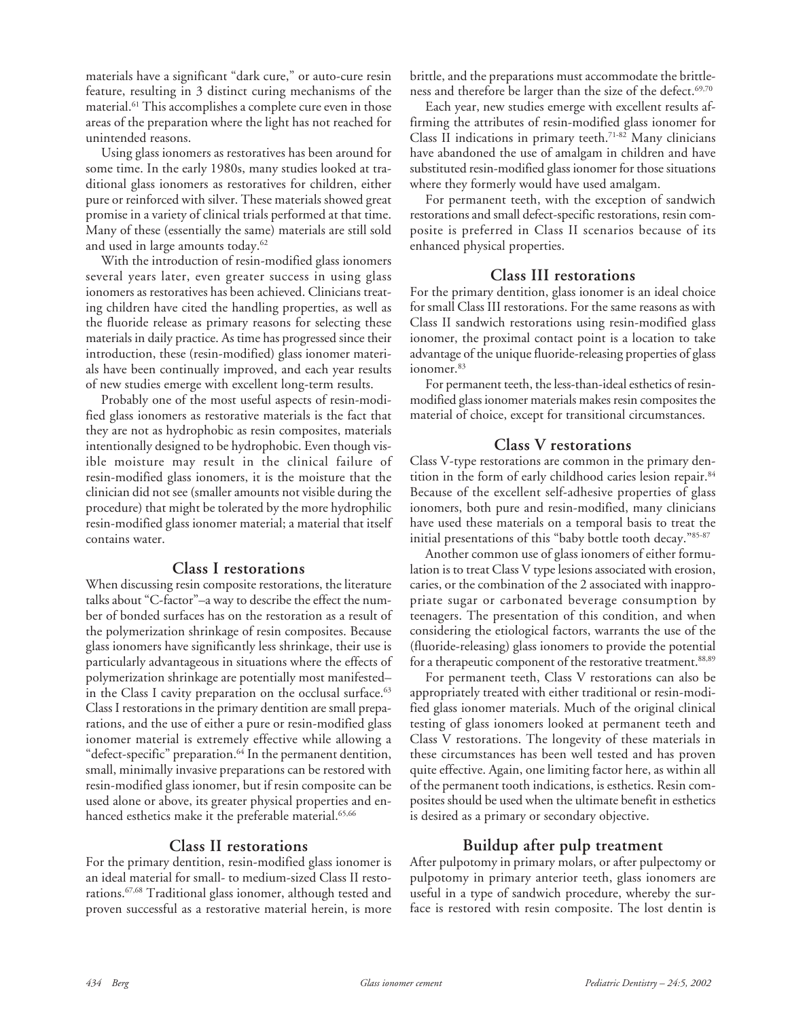materials have a significant "dark cure," or auto-cure resin feature, resulting in 3 distinct curing mechanisms of the material.61 This accomplishes a complete cure even in those areas of the preparation where the light has not reached for unintended reasons.

Using glass ionomers as restoratives has been around for some time. In the early 1980s, many studies looked at traditional glass ionomers as restoratives for children, either pure or reinforced with silver. These materials showed great promise in a variety of clinical trials performed at that time. Many of these (essentially the same) materials are still sold and used in large amounts today.<sup>62</sup>

With the introduction of resin-modified glass ionomers several years later, even greater success in using glass ionomers as restoratives has been achieved. Clinicians treating children have cited the handling properties, as well as the fluoride release as primary reasons for selecting these materials in daily practice. As time has progressed since their introduction, these (resin-modified) glass ionomer materials have been continually improved, and each year results of new studies emerge with excellent long-term results.

Probably one of the most useful aspects of resin-modified glass ionomers as restorative materials is the fact that they are not as hydrophobic as resin composites, materials intentionally designed to be hydrophobic. Even though visible moisture may result in the clinical failure of resin-modified glass ionomers, it is the moisture that the clinician did not see (smaller amounts not visible during the procedure) that might be tolerated by the more hydrophilic resin-modified glass ionomer material; a material that itself contains water.

# **Class I restorations**

When discussing resin composite restorations, the literature talks about "C-factor"–a way to describe the effect the number of bonded surfaces has on the restoration as a result of the polymerization shrinkage of resin composites. Because glass ionomers have significantly less shrinkage, their use is particularly advantageous in situations where the effects of polymerization shrinkage are potentially most manifested– in the Class I cavity preparation on the occlusal surface.<sup>63</sup> Class I restorations in the primary dentition are small preparations, and the use of either a pure or resin-modified glass ionomer material is extremely effective while allowing a "defect-specific" preparation.<sup>64</sup> In the permanent dentition, small, minimally invasive preparations can be restored with resin-modified glass ionomer, but if resin composite can be used alone or above, its greater physical properties and enhanced esthetics make it the preferable material.<sup>65,66</sup>

### **Class II restorations**

For the primary dentition, resin-modified glass ionomer is an ideal material for small- to medium-sized Class II restorations.67,68 Traditional glass ionomer, although tested and proven successful as a restorative material herein, is more brittle, and the preparations must accommodate the brittleness and therefore be larger than the size of the defect.<sup>69,70</sup>

Each year, new studies emerge with excellent results affirming the attributes of resin-modified glass ionomer for Class II indications in primary teeth.71-82 Many clinicians have abandoned the use of amalgam in children and have substituted resin-modified glass ionomer for those situations where they formerly would have used amalgam.

For permanent teeth, with the exception of sandwich restorations and small defect-specific restorations, resin composite is preferred in Class II scenarios because of its enhanced physical properties.

# **Class III restorations**

For the primary dentition, glass ionomer is an ideal choice for small Class III restorations. For the same reasons as with Class II sandwich restorations using resin-modified glass ionomer, the proximal contact point is a location to take advantage of the unique fluoride-releasing properties of glass ionomer.<sup>83</sup>

For permanent teeth, the less-than-ideal esthetics of resinmodified glass ionomer materials makes resin composites the material of choice, except for transitional circumstances.

# **Class V restorations**

Class V-type restorations are common in the primary dentition in the form of early childhood caries lesion repair.<sup>84</sup> Because of the excellent self-adhesive properties of glass ionomers, both pure and resin-modified, many clinicians have used these materials on a temporal basis to treat the initial presentations of this "baby bottle tooth decay."85-87

Another common use of glass ionomers of either formulation is to treat Class V type lesions associated with erosion, caries, or the combination of the 2 associated with inappropriate sugar or carbonated beverage consumption by teenagers. The presentation of this condition, and when considering the etiological factors, warrants the use of the (fluoride-releasing) glass ionomers to provide the potential for a therapeutic component of the restorative treatment.<sup>88,89</sup>

For permanent teeth, Class V restorations can also be appropriately treated with either traditional or resin-modified glass ionomer materials. Much of the original clinical testing of glass ionomers looked at permanent teeth and Class V restorations. The longevity of these materials in these circumstances has been well tested and has proven quite effective. Again, one limiting factor here, as within all of the permanent tooth indications, is esthetics. Resin composites should be used when the ultimate benefit in esthetics is desired as a primary or secondary objective.

# **Buildup after pulp treatment**

After pulpotomy in primary molars, or after pulpectomy or pulpotomy in primary anterior teeth, glass ionomers are useful in a type of sandwich procedure, whereby the surface is restored with resin composite. The lost dentin is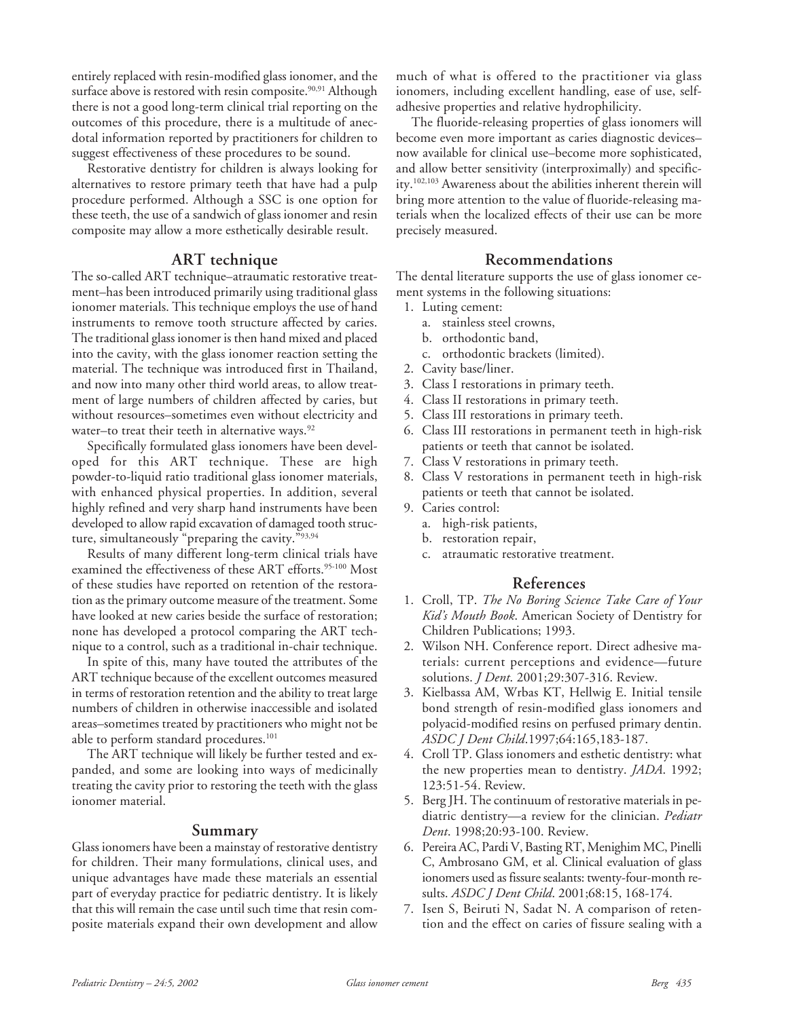entirely replaced with resin-modified glass ionomer, and the surface above is restored with resin composite.<sup>90,91</sup> Although there is not a good long-term clinical trial reporting on the outcomes of this procedure, there is a multitude of anecdotal information reported by practitioners for children to suggest effectiveness of these procedures to be sound.

Restorative dentistry for children is always looking for alternatives to restore primary teeth that have had a pulp procedure performed. Although a SSC is one option for these teeth, the use of a sandwich of glass ionomer and resin composite may allow a more esthetically desirable result.

#### **ART technique**

The so-called ART technique–atraumatic restorative treatment–has been introduced primarily using traditional glass ionomer materials. This technique employs the use of hand instruments to remove tooth structure affected by caries. The traditional glass ionomer is then hand mixed and placed into the cavity, with the glass ionomer reaction setting the material. The technique was introduced first in Thailand, and now into many other third world areas, to allow treatment of large numbers of children affected by caries, but without resources–sometimes even without electricity and water–to treat their teeth in alternative ways.<sup>92</sup>

Specifically formulated glass ionomers have been developed for this ART technique. These are high powder-to-liquid ratio traditional glass ionomer materials, with enhanced physical properties. In addition, several highly refined and very sharp hand instruments have been developed to allow rapid excavation of damaged tooth structure, simultaneously "preparing the cavity."93,94

Results of many different long-term clinical trials have examined the effectiveness of these ART efforts.<sup>95-100</sup> Most of these studies have reported on retention of the restoration as the primary outcome measure of the treatment. Some have looked at new caries beside the surface of restoration; none has developed a protocol comparing the ART technique to a control, such as a traditional in-chair technique.

In spite of this, many have touted the attributes of the ART technique because of the excellent outcomes measured in terms of restoration retention and the ability to treat large numbers of children in otherwise inaccessible and isolated areas–sometimes treated by practitioners who might not be able to perform standard procedures.<sup>101</sup>

The ART technique will likely be further tested and expanded, and some are looking into ways of medicinally treating the cavity prior to restoring the teeth with the glass ionomer material.

#### **Summary**

Glass ionomers have been a mainstay of restorative dentistry for children. Their many formulations, clinical uses, and unique advantages have made these materials an essential part of everyday practice for pediatric dentistry. It is likely that this will remain the case until such time that resin composite materials expand their own development and allow much of what is offered to the practitioner via glass ionomers, including excellent handling, ease of use, selfadhesive properties and relative hydrophilicity.

The fluoride-releasing properties of glass ionomers will become even more important as caries diagnostic devices– now available for clinical use–become more sophisticated, and allow better sensitivity (interproximally) and specificity.102,103 Awareness about the abilities inherent therein will bring more attention to the value of fluoride-releasing materials when the localized effects of their use can be more precisely measured.

#### **Recommendations**

The dental literature supports the use of glass ionomer cement systems in the following situations:

- 1. Luting cement:
	- a. stainless steel crowns,
- b. orthodontic band,
- c. orthodontic brackets (limited).
- 2. Cavity base/liner.
- 3. Class I restorations in primary teeth.
- 4. Class II restorations in primary teeth.
- 5. Class III restorations in primary teeth.
- 6. Class III restorations in permanent teeth in high-risk patients or teeth that cannot be isolated.
- 7. Class V restorations in primary teeth.
- 8. Class V restorations in permanent teeth in high-risk patients or teeth that cannot be isolated.
- 9. Caries control:
	- a. high-risk patients,
	- b. restoration repair,
	- c. atraumatic restorative treatment.

### **References**

- 1. Croll, TP. *The No Boring Science Take Care of Your Kid's Mouth Book*. American Society of Dentistry for Children Publications; 1993.
- 2. Wilson NH. Conference report. Direct adhesive materials: current perceptions and evidence—future solutions. *J Dent*. 2001;29:307-316. Review.
- 3. Kielbassa AM, Wrbas KT, Hellwig E. Initial tensile bond strength of resin-modified glass ionomers and polyacid-modified resins on perfused primary dentin. *ASDC J Dent Child*.1997;64:165,183-187.
- 4. Croll TP. Glass ionomers and esthetic dentistry: what the new properties mean to dentistry. *JADA*. 1992; 123:51-54. Review.
- 5. Berg JH. The continuum of restorative materials in pediatric dentistry—a review for the clinician. *Pediatr Dent*. 1998;20:93-100. Review.
- 6. Pereira AC, Pardi V, Basting RT, Menighim MC, Pinelli C, Ambrosano GM, et al. Clinical evaluation of glass ionomers used as fissure sealants: twenty-four-month results. *ASDC J Dent Child*. 2001;68:15, 168-174.
- 7. Isen S, Beiruti N, Sadat N. A comparison of retention and the effect on caries of fissure sealing with a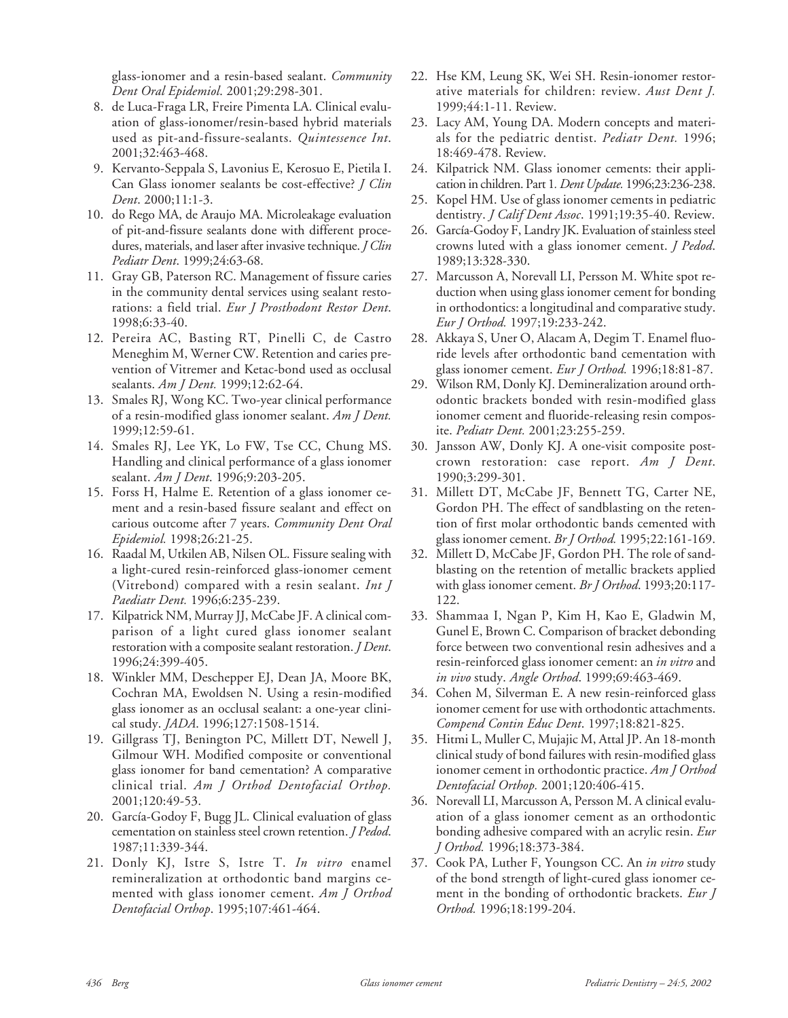glass-ionomer and a resin-based sealant. *Community Dent Oral Epidemiol*. 2001;29:298-301.

- 8. de Luca-Fraga LR, Freire Pimenta LA. Clinical evaluation of glass-ionomer/resin-based hybrid materials used as pit-and-fissure-sealants. *Quintessence Int*. 2001;32:463-468.
- 9. Kervanto-Seppala S, Lavonius E, Kerosuo E, Pietila I. Can Glass ionomer sealants be cost-effective? *J Clin Dent*. 2000;11:1-3.
- 10. do Rego MA, de Araujo MA. Microleakage evaluation of pit-and-fissure sealants done with different procedures, materials, and laser after invasive technique. *J Clin Pediatr Dent*. 1999;24:63-68.
- 11. Gray GB, Paterson RC. Management of fissure caries in the community dental services using sealant restorations: a field trial. *Eur J Prosthodont Restor Dent*. 1998;6:33-40.
- 12. Pereira AC, Basting RT, Pinelli C, de Castro Meneghim M, Werner CW. Retention and caries prevention of Vitremer and Ketac-bond used as occlusal sealants. *Am J Dent.* 1999;12:62-64.
- 13. Smales RJ, Wong KC. Two-year clinical performance of a resin-modified glass ionomer sealant. *Am J Dent.* 1999;12:59-61.
- 14. Smales RJ, Lee YK, Lo FW, Tse CC, Chung MS. Handling and clinical performance of a glass ionomer sealant. *Am J Dent*. 1996;9:203-205.
- 15. Forss H, Halme E. Retention of a glass ionomer cement and a resin-based fissure sealant and effect on carious outcome after 7 years. *Community Dent Oral Epidemiol.* 1998;26:21-25.
- 16. Raadal M, Utkilen AB, Nilsen OL. Fissure sealing with a light-cured resin-reinforced glass-ionomer cement (Vitrebond) compared with a resin sealant. *Int J Paediatr Dent.* 1996;6:235-239.
- 17. Kilpatrick NM, Murray JJ, McCabe JF. A clinical comparison of a light cured glass ionomer sealant restoration with a composite sealant restoration. *J Dent*. 1996;24:399-405.
- 18. Winkler MM, Deschepper EJ, Dean JA, Moore BK, Cochran MA, Ewoldsen N. Using a resin-modified glass ionomer as an occlusal sealant: a one-year clinical study. *JADA*. 1996;127:1508-1514.
- 19. Gillgrass TJ, Benington PC, Millett DT, Newell J, Gilmour WH. Modified composite or conventional glass ionomer for band cementation? A comparative clinical trial. *Am J Orthod Dentofacial Orthop.* 2001;120:49-53.
- 20. García-Godoy F, Bugg JL. Clinical evaluation of glass cementation on stainless steel crown retention. *J Pedod*. 1987;11:339-344.
- 21. Donly KJ, Istre S, Istre T. *In vitro* enamel remineralization at orthodontic band margins cemented with glass ionomer cement. *Am J Orthod Dentofacial Orthop*. 1995;107:461-464.
- 22. Hse KM, Leung SK, Wei SH. Resin-ionomer restorative materials for children: review. *Aust Dent J.* 1999;44:1-11. Review.
- 23. Lacy AM, Young DA. Modern concepts and materials for the pediatric dentist. *Pediatr Dent.* 1996; 18:469-478. Review.
- 24. Kilpatrick NM. Glass ionomer cements: their application in children. Part 1*. Dent Update.* 1996;23:236-238.
- 25. Kopel HM. Use of glass ionomer cements in pediatric dentistry. *J Calif Dent Assoc*. 1991;19:35-40. Review.
- 26. García-Godoy F, Landry JK. Evaluation of stainless steel crowns luted with a glass ionomer cement. *J Pedod*. 1989;13:328-330.
- 27. Marcusson A, Norevall LI, Persson M. White spot reduction when using glass ionomer cement for bonding in orthodontics: a longitudinal and comparative study. *Eur J Orthod.* 1997;19:233-242.
- 28. Akkaya S, Uner O, Alacam A, Degim T. Enamel fluoride levels after orthodontic band cementation with glass ionomer cement. *Eur J Orthod.* 1996;18:81-87.
- 29. Wilson RM, Donly KJ. Demineralization around orthodontic brackets bonded with resin-modified glass ionomer cement and fluoride-releasing resin composite. *Pediatr Dent.* 2001;23:255-259.
- 30. Jansson AW, Donly KJ. A one-visit composite postcrown restoration: case report. *Am J Dent*. 1990;3:299-301.
- 31. Millett DT, McCabe JF, Bennett TG, Carter NE, Gordon PH. The effect of sandblasting on the retention of first molar orthodontic bands cemented with glass ionomer cement. *Br J Orthod.* 1995;22:161-169.
- 32. Millett D, McCabe JF, Gordon PH. The role of sandblasting on the retention of metallic brackets applied with glass ionomer cement. *Br J Orthod*. 1993;20:117- 122.
- 33. Shammaa I, Ngan P, Kim H, Kao E, Gladwin M, Gunel E, Brown C. Comparison of bracket debonding force between two conventional resin adhesives and a resin-reinforced glass ionomer cement: an *in vitro* and *in vivo* study. *Angle Orthod*. 1999;69:463-469.
- 34. Cohen M, Silverman E. A new resin-reinforced glass ionomer cement for use with orthodontic attachments. *Compend Contin Educ Dent*. 1997;18:821-825.
- 35. Hitmi L, Muller C, Mujajic M, Attal JP. An 18-month clinical study of bond failures with resin-modified glass ionomer cement in orthodontic practice. *Am J Orthod Dentofacial Orthop.* 2001;120:406-415.
- 36. Norevall LI, Marcusson A, Persson M. A clinical evaluation of a glass ionomer cement as an orthodontic bonding adhesive compared with an acrylic resin. *Eur J Orthod.* 1996;18:373-384.
- 37. Cook PA, Luther F, Youngson CC. An *in vitro* study of the bond strength of light-cured glass ionomer cement in the bonding of orthodontic brackets. *Eur J Orthod.* 1996;18:199-204.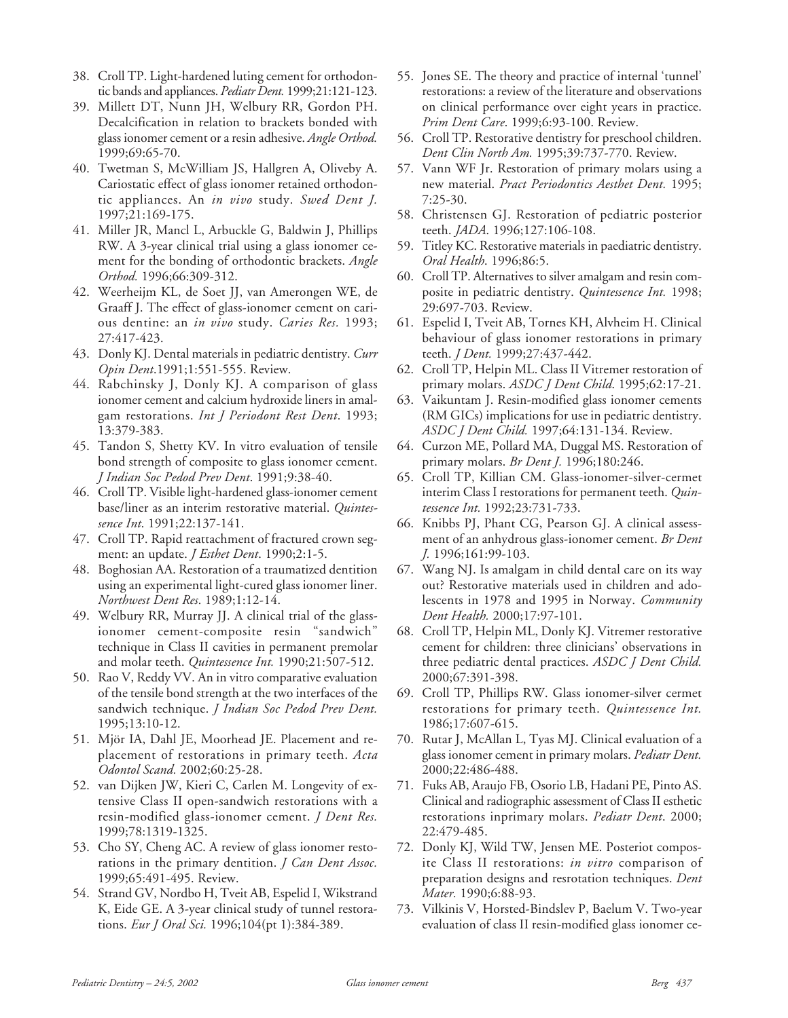- 38. Croll TP. Light-hardened luting cement for orthodontic bands and appliances. *Pediatr Dent.* 1999;21:121-123.
- 39. Millett DT, Nunn JH, Welbury RR, Gordon PH. Decalcification in relation to brackets bonded with glass ionomer cement or a resin adhesive. *Angle Orthod.* 1999;69:65-70.
- 40. Twetman S, McWilliam JS, Hallgren A, Oliveby A. Cariostatic effect of glass ionomer retained orthodontic appliances. An *in vivo* study. *Swed Dent J.* 1997;21:169-175.
- 41. Miller JR, Mancl L, Arbuckle G, Baldwin J, Phillips RW. A 3-year clinical trial using a glass ionomer cement for the bonding of orthodontic brackets. *Angle Orthod.* 1996;66:309-312.
- 42. Weerheijm KL, de Soet JJ, van Amerongen WE, de Graaff J. The effect of glass-ionomer cement on carious dentine: an *in vivo* study. *Caries Res.* 1993; 27:417-423.
- 43. Donly KJ. Dental materials in pediatric dentistry. *Curr Opin Dent*.1991;1:551-555. Review.
- 44. Rabchinsky J, Donly KJ. A comparison of glass ionomer cement and calcium hydroxide liners in amalgam restorations. *Int J Periodont Rest Dent*. 1993; 13:379-383.
- 45. Tandon S, Shetty KV. In vitro evaluation of tensile bond strength of composite to glass ionomer cement. *J Indian Soc Pedod Prev Dent*. 1991;9:38-40.
- 46. Croll TP. Visible light-hardened glass-ionomer cement base/liner as an interim restorative material. *Quintessence Int*. 1991;22:137-141.
- 47. Croll TP. Rapid reattachment of fractured crown segment: an update. *J Esthet Dent*. 1990;2:1-5.
- 48. Boghosian AA. Restoration of a traumatized dentition using an experimental light-cured glass ionomer liner. *Northwest Dent Res*. 1989;1:12-14.
- 49. Welbury RR, Murray JJ. A clinical trial of the glassionomer cement-composite resin "sandwich" technique in Class II cavities in permanent premolar and molar teeth. *Quintessence Int.* 1990;21:507-512.
- 50. Rao V, Reddy VV. An in vitro comparative evaluation of the tensile bond strength at the two interfaces of the sandwich technique. *J Indian Soc Pedod Prev Dent.* 1995;13:10-12.
- 51. Mjör IA, Dahl JE, Moorhead JE. Placement and replacement of restorations in primary teeth. *Acta Odontol Scand.* 2002;60:25-28.
- 52. van Dijken JW, Kieri C, Carlen M. Longevity of extensive Class II open-sandwich restorations with a resin-modified glass-ionomer cement. *J Dent Res.* 1999;78:1319-1325.
- 53. Cho SY, Cheng AC. A review of glass ionomer restorations in the primary dentition. *J Can Dent Assoc.* 1999;65:491-495. Review.
- 54. Strand GV, Nordbo H, Tveit AB, Espelid I, Wikstrand K, Eide GE. A 3-year clinical study of tunnel restorations. *Eur J Oral Sci.* 1996;104(pt 1):384-389.
- 55. Jones SE. The theory and practice of internal 'tunnel' restorations: a review of the literature and observations on clinical performance over eight years in practice. *Prim Dent Care*. 1999;6:93-100. Review.
- 56. Croll TP. Restorative dentistry for preschool children. *Dent Clin North Am.* 1995;39:737-770. Review.
- 57. Vann WF Jr. Restoration of primary molars using a new material. *Pract Periodontics Aesthet Dent.* 1995; 7:25-30.
- 58. Christensen GJ. Restoration of pediatric posterior teeth. *JADA*. 1996;127:106-108.
- 59. Titley KC. Restorative materials in paediatric dentistry. *Oral Health*. 1996;86:5.
- 60. Croll TP. Alternatives to silver amalgam and resin composite in pediatric dentistry. *Quintessence Int.* 1998; 29:697-703. Review.
- 61. Espelid I, Tveit AB, Tornes KH, Alvheim H. Clinical behaviour of glass ionomer restorations in primary teeth. *J Dent.* 1999;27:437-442.
- 62. Croll TP, Helpin ML. Class II Vitremer restoration of primary molars. *ASDC J Dent Child*. 1995;62:17-21.
- 63. Vaikuntam J. Resin-modified glass ionomer cements (RM GICs) implications for use in pediatric dentistry. *ASDC J Dent Child.* 1997;64:131-134. Review.
- 64. Curzon ME, Pollard MA, Duggal MS. Restoration of primary molars. *Br Dent J.* 1996;180:246.
- 65. Croll TP, Killian CM. Glass-ionomer-silver-cermet interim Class I restorations for permanent teeth. *Quintessence Int.* 1992;23:731-733.
- 66. Knibbs PJ, Phant CG, Pearson GJ. A clinical assessment of an anhydrous glass-ionomer cement. *Br Dent J.* 1996;161:99-103.
- 67. Wang NJ. Is amalgam in child dental care on its way out? Restorative materials used in children and adolescents in 1978 and 1995 in Norway. *Community Dent Health.* 2000;17:97-101.
- 68. Croll TP, Helpin ML, Donly KJ. Vitremer restorative cement for children: three clinicians' observations in three pediatric dental practices. *ASDC J Dent Child.* 2000;67:391-398.
- 69. Croll TP, Phillips RW. Glass ionomer-silver cermet restorations for primary teeth. *Quintessence Int.* 1986;17:607-615.
- 70. Rutar J, McAllan L, Tyas MJ. Clinical evaluation of a glass ionomer cement in primary molars. *Pediatr Dent.* 2000;22:486-488.
- 71. Fuks AB, Araujo FB, Osorio LB, Hadani PE, Pinto AS. Clinical and radiographic assessment of Class II esthetic restorations inprimary molars. *Pediatr Dent*. 2000; 22:479-485.
- 72. Donly KJ, Wild TW, Jensen ME. Posteriot composite Class II restorations: *in vitro* comparison of preparation designs and resrotation techniques. *Dent Mater.* 1990;6:88-93.
- 73. Vilkinis V, Horsted-Bindslev P, Baelum V. Two-year evaluation of class II resin-modified glass ionomer ce-